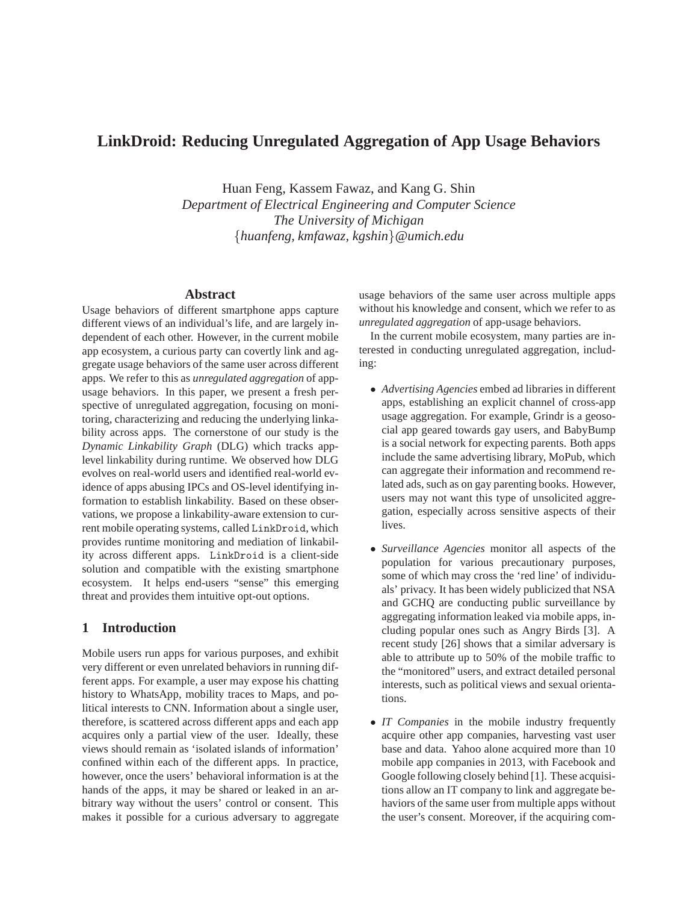# **LinkDroid: Reducing Unregulated Aggregation of App Usage Behaviors**

Huan Feng, Kassem Fawaz, and Kang G. Shin *Department of Electrical Engineering and Computer Science The University of Michigan* {*huanfeng, kmfawaz, kgshin*}*@umich.edu*

## **Abstract**

Usage behaviors of different smartphone apps capture different views of an individual's life, and are largely independent of each other. However, in the current mobile app ecosystem, a curious party can covertly link and aggregate usage behaviors of the same user across different apps. We refer to this as *unregulated aggregation* of appusage behaviors. In this paper, we present a fresh perspective of unregulated aggregation, focusing on monitoring, characterizing and reducing the underlying linkability across apps. The cornerstone of our study is the *Dynamic Linkability Graph* (DLG) which tracks applevel linkability during runtime. We observed how DLG evolves on real-world users and identified real-world evidence of apps abusing IPCs and OS-level identifying information to establish linkability. Based on these observations, we propose a linkability-aware extension to current mobile operating systems, called LinkDroid, which provides runtime monitoring and mediation of linkability across different apps. LinkDroid is a client-side solution and compatible with the existing smartphone ecosystem. It helps end-users "sense" this emerging threat and provides them intuitive opt-out options.

# **1 Introduction**

Mobile users run apps for various purposes, and exhibit very different or even unrelated behaviors in running different apps. For example, a user may expose his chatting history to WhatsApp, mobility traces to Maps, and political interests to CNN. Information about a single user, therefore, is scattered across different apps and each app acquires only a partial view of the user. Ideally, these views should remain as 'isolated islands of information' confined within each of the different apps. In practice, however, once the users' behavioral information is at the hands of the apps, it may be shared or leaked in an arbitrary way without the users' control or consent. This makes it possible for a curious adversary to aggregate

usage behaviors of the same user across multiple apps without his knowledge and consent, which we refer to as *unregulated aggregation* of app-usage behaviors.

In the current mobile ecosystem, many parties are interested in conducting unregulated aggregation, including:

- *Advertising Agencies* embed ad libraries in different apps, establishing an explicit channel of cross-app usage aggregation. For example, Grindr is a geosocial app geared towards gay users, and BabyBump is a social network for expecting parents. Both apps include the same advertising library, MoPub, which can aggregate their information and recommend related ads, such as on gay parenting books. However, users may not want this type of unsolicited aggregation, especially across sensitive aspects of their lives.
- *Surveillance Agencies* monitor all aspects of the population for various precautionary purposes, some of which may cross the 'red line' of individuals' privacy. It has been widely publicized that NSA and GCHQ are conducting public surveillance by aggregating information leaked via mobile apps, including popular ones such as Angry Birds [3]. A recent study [26] shows that a similar adversary is able to attribute up to 50% of the mobile traffic to the "monitored" users, and extract detailed personal interests, such as political views and sexual orientations.
- *IT Companies* in the mobile industry frequently acquire other app companies, harvesting vast user base and data. Yahoo alone acquired more than 10 mobile app companies in 2013, with Facebook and Google following closely behind [1]. These acquisitions allow an IT company to link and aggregate behaviors of the same user from multiple apps without the user's consent. Moreover, if the acquiring com-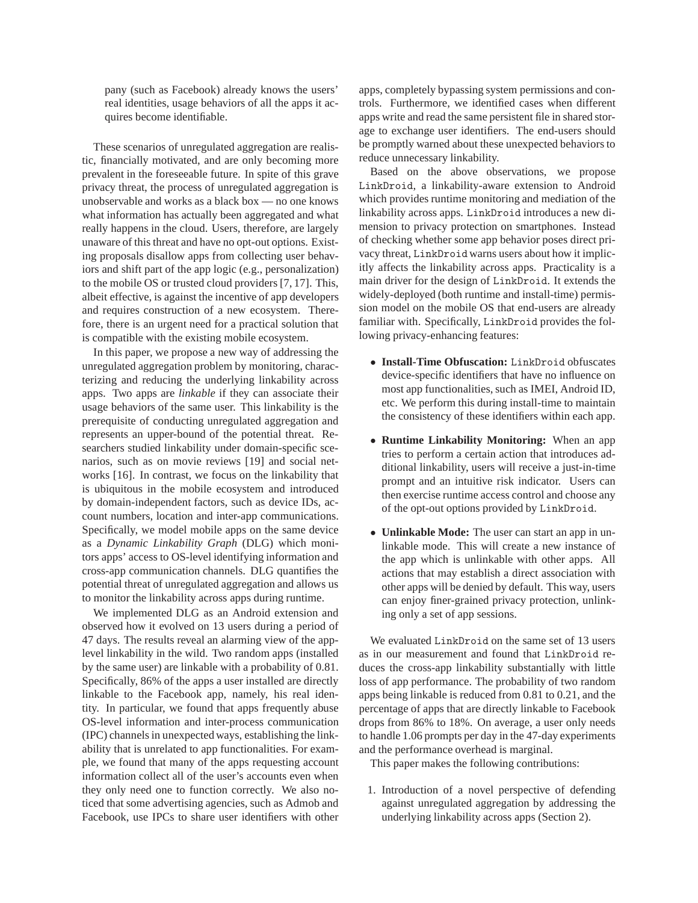pany (such as Facebook) already knows the users' real identities, usage behaviors of all the apps it acquires become identifiable.

These scenarios of unregulated aggregation are realistic, financially motivated, and are only becoming more prevalent in the foreseeable future. In spite of this grave privacy threat, the process of unregulated aggregation is unobservable and works as a black box — no one knows what information has actually been aggregated and what really happens in the cloud. Users, therefore, are largely unaware of this threat and have no opt-out options. Existing proposals disallow apps from collecting user behaviors and shift part of the app logic (e.g., personalization) to the mobile OS or trusted cloud providers [7, 17]. This, albeit effective, is against the incentive of app developers and requires construction of a new ecosystem. Therefore, there is an urgent need for a practical solution that is compatible with the existing mobile ecosystem.

In this paper, we propose a new way of addressing the unregulated aggregation problem by monitoring, characterizing and reducing the underlying linkability across apps. Two apps are *linkable* if they can associate their usage behaviors of the same user. This linkability is the prerequisite of conducting unregulated aggregation and represents an upper-bound of the potential threat. Researchers studied linkability under domain-specific scenarios, such as on movie reviews [19] and social networks [16]. In contrast, we focus on the linkability that is ubiquitous in the mobile ecosystem and introduced by domain-independent factors, such as device IDs, account numbers, location and inter-app communications. Specifically, we model mobile apps on the same device as a *Dynamic Linkability Graph* (DLG) which monitors apps' access to OS-level identifying information and cross-app communication channels. DLG quantifies the potential threat of unregulated aggregation and allows us to monitor the linkability across apps during runtime.

We implemented DLG as an Android extension and observed how it evolved on 13 users during a period of 47 days. The results reveal an alarming view of the applevel linkability in the wild. Two random apps (installed by the same user) are linkable with a probability of 0.81. Specifically, 86% of the apps a user installed are directly linkable to the Facebook app, namely, his real identity. In particular, we found that apps frequently abuse OS-level information and inter-process communication (IPC) channels in unexpected ways, establishing the linkability that is unrelated to app functionalities. For example, we found that many of the apps requesting account information collect all of the user's accounts even when they only need one to function correctly. We also noticed that some advertising agencies, such as Admob and Facebook, use IPCs to share user identifiers with other

apps, completely bypassing system permissions and controls. Furthermore, we identified cases when different apps write and read the same persistent file in shared storage to exchange user identifiers. The end-users should be promptly warned about these unexpected behaviors to reduce unnecessary linkability.

Based on the above observations, we propose LinkDroid, a linkability-aware extension to Android which provides runtime monitoring and mediation of the linkability across apps. LinkDroid introduces a new dimension to privacy protection on smartphones. Instead of checking whether some app behavior poses direct privacy threat, LinkDroid warns users about how it implicitly affects the linkability across apps. Practicality is a main driver for the design of LinkDroid. It extends the widely-deployed (both runtime and install-time) permission model on the mobile OS that end-users are already familiar with. Specifically, LinkDroid provides the following privacy-enhancing features:

- **Install-Time Obfuscation:** LinkDroid obfuscates device-specific identifiers that have no influence on most app functionalities, such as IMEI, Android ID, etc. We perform this during install-time to maintain the consistency of these identifiers within each app.
- **Runtime Linkability Monitoring:** When an app tries to perform a certain action that introduces additional linkability, users will receive a just-in-time prompt and an intuitive risk indicator. Users can then exercise runtime access control and choose any of the opt-out options provided by LinkDroid.
- **Unlinkable Mode:** The user can start an app in unlinkable mode. This will create a new instance of the app which is unlinkable with other apps. All actions that may establish a direct association with other apps will be denied by default. This way, users can enjoy finer-grained privacy protection, unlinking only a set of app sessions.

We evaluated LinkDroid on the same set of 13 users as in our measurement and found that LinkDroid reduces the cross-app linkability substantially with little loss of app performance. The probability of two random apps being linkable is reduced from 0.81 to 0.21, and the percentage of apps that are directly linkable to Facebook drops from 86% to 18%. On average, a user only needs to handle 1.06 prompts per day in the 47-day experiments and the performance overhead is marginal.

This paper makes the following contributions:

1. Introduction of a novel perspective of defending against unregulated aggregation by addressing the underlying linkability across apps (Section 2).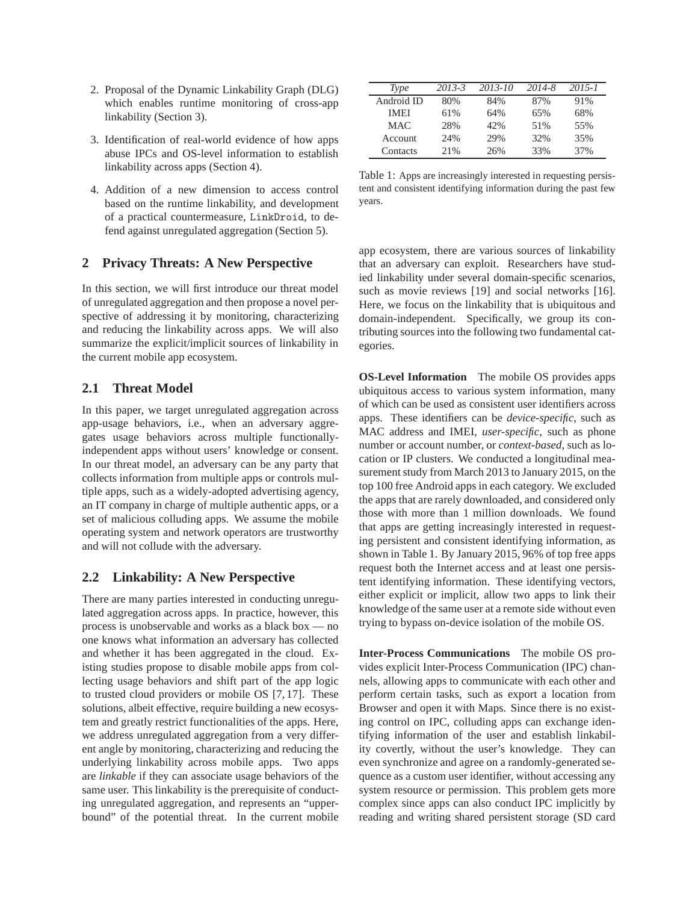- 2. Proposal of the Dynamic Linkability Graph (DLG) which enables runtime monitoring of cross-app linkability (Section 3).
- 3. Identification of real-world evidence of how apps abuse IPCs and OS-level information to establish linkability across apps (Section 4).
- 4. Addition of a new dimension to access control based on the runtime linkability, and development of a practical countermeasure, LinkDroid, to defend against unregulated aggregation (Section 5).

## **2 Privacy Threats: A New Perspective**

In this section, we will first introduce our threat model of unregulated aggregation and then propose a novel perspective of addressing it by monitoring, characterizing and reducing the linkability across apps. We will also summarize the explicit/implicit sources of linkability in the current mobile app ecosystem.

## **2.1 Threat Model**

In this paper, we target unregulated aggregation across app-usage behaviors, i.e., when an adversary aggregates usage behaviors across multiple functionallyindependent apps without users' knowledge or consent. In our threat model, an adversary can be any party that collects information from multiple apps or controls multiple apps, such as a widely-adopted advertising agency, an IT company in charge of multiple authentic apps, or a set of malicious colluding apps. We assume the mobile operating system and network operators are trustworthy and will not collude with the adversary.

#### **2.2 Linkability: A New Perspective**

There are many parties interested in conducting unregulated aggregation across apps. In practice, however, this process is unobservable and works as a black box — no one knows what information an adversary has collected and whether it has been aggregated in the cloud. Existing studies propose to disable mobile apps from collecting usage behaviors and shift part of the app logic to trusted cloud providers or mobile OS [7, 17]. These solutions, albeit effective, require building a new ecosystem and greatly restrict functionalities of the apps. Here, we address unregulated aggregation from a very different angle by monitoring, characterizing and reducing the underlying linkability across mobile apps. Two apps are *linkable* if they can associate usage behaviors of the same user. This linkability is the prerequisite of conducting unregulated aggregation, and represents an "upperbound" of the potential threat. In the current mobile

| Type           | 2013-3 | 2013-10 | 2014-8 | $2015 - I$ |
|----------------|--------|---------|--------|------------|
| Android ID     | 80%    | 84%     | 87%    | 91%        |
| <b>IMEI</b>    | 61%    | 64%     | 65%    | 68%        |
| <b>MAC</b>     | 28%    | 42%     | 51%    | 55%        |
| <b>Account</b> | 24%    | 29%     | 32%    | 35%        |
| Contacts       | 2.1%   | 26%     | 33%    | 37%        |

Table 1: Apps are increasingly interested in requesting persistent and consistent identifying information during the past few years.

app ecosystem, there are various sources of linkability that an adversary can exploit. Researchers have studied linkability under several domain-specific scenarios, such as movie reviews [19] and social networks [16]. Here, we focus on the linkability that is ubiquitous and domain-independent. Specifically, we group its contributing sources into the following two fundamental categories.

**OS-Level Information** The mobile OS provides apps ubiquitous access to various system information, many of which can be used as consistent user identifiers across apps. These identifiers can be *device-specific*, such as MAC address and IMEI, *user-specific*, such as phone number or account number, or *context-based*, such as location or IP clusters. We conducted a longitudinal measurement study from March 2013 to January 2015, on the top 100 free Android apps in each category. We excluded the apps that are rarely downloaded, and considered only those with more than 1 million downloads. We found that apps are getting increasingly interested in requesting persistent and consistent identifying information, as shown in Table 1. By January 2015, 96% of top free apps request both the Internet access and at least one persistent identifying information. These identifying vectors, either explicit or implicit, allow two apps to link their knowledge of the same user at a remote side without even trying to bypass on-device isolation of the mobile OS.

**Inter-Process Communications** The mobile OS provides explicit Inter-Process Communication (IPC) channels, allowing apps to communicate with each other and perform certain tasks, such as export a location from Browser and open it with Maps. Since there is no existing control on IPC, colluding apps can exchange identifying information of the user and establish linkability covertly, without the user's knowledge. They can even synchronize and agree on a randomly-generated sequence as a custom user identifier, without accessing any system resource or permission. This problem gets more complex since apps can also conduct IPC implicitly by reading and writing shared persistent storage (SD card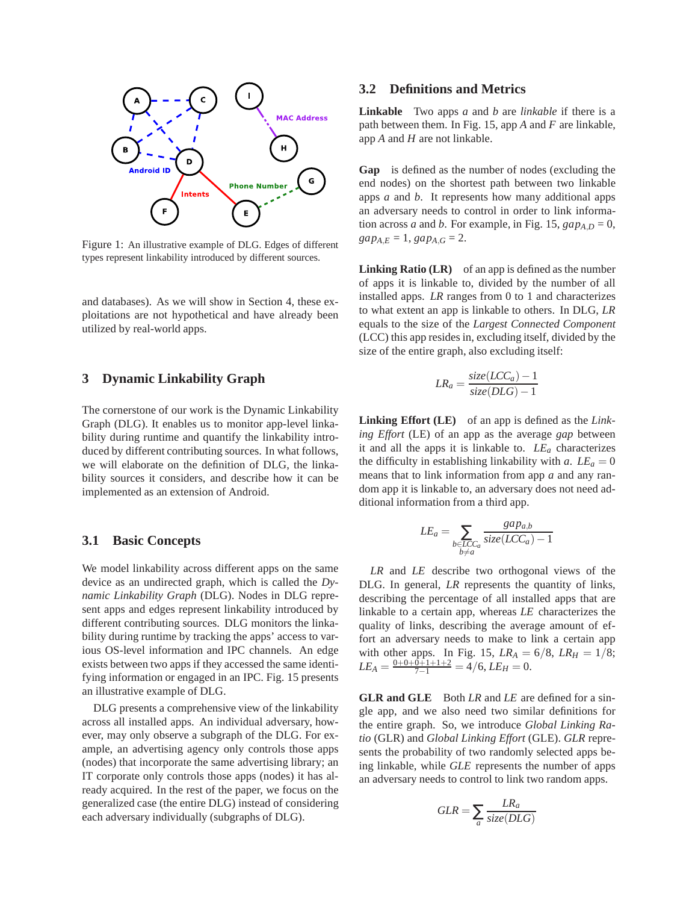

Figure 1: An illustrative example of DLG. Edges of different types represent linkability introduced by different sources.

and databases). As we will show in Section 4, these exploitations are not hypothetical and have already been utilized by real-world apps.

## **3 Dynamic Linkability Graph**

The cornerstone of our work is the Dynamic Linkability Graph (DLG). It enables us to monitor app-level linkability during runtime and quantify the linkability introduced by different contributing sources. In what follows, we will elaborate on the definition of DLG, the linkability sources it considers, and describe how it can be implemented as an extension of Android.

#### **3.1 Basic Concepts**

We model linkability across different apps on the same device as an undirected graph, which is called the *Dynamic Linkability Graph* (DLG). Nodes in DLG represent apps and edges represent linkability introduced by different contributing sources. DLG monitors the linkability during runtime by tracking the apps' access to various OS-level information and IPC channels. An edge exists between two apps if they accessed the same identifying information or engaged in an IPC. Fig. 15 presents an illustrative example of DLG.

DLG presents a comprehensive view of the linkability across all installed apps. An individual adversary, however, may only observe a subgraph of the DLG. For example, an advertising agency only controls those apps (nodes) that incorporate the same advertising library; an IT corporate only controls those apps (nodes) it has already acquired. In the rest of the paper, we focus on the generalized case (the entire DLG) instead of considering each adversary individually (subgraphs of DLG).

## **3.2 Definitions and Metrics**

**Linkable** Two apps *a* and *b* are *linkable* if there is a path between them. In Fig. 15, app *A* and *F* are linkable, app *A* and *H* are not linkable.

**Gap** is defined as the number of nodes (excluding the end nodes) on the shortest path between two linkable apps *a* and *b*. It represents how many additional apps an adversary needs to control in order to link information across *a* and *b*. For example, in Fig. 15,  $gap_{AD} = 0$ ,  $gap_{A,E} = 1, gap_{A,G} = 2.$ 

Linking Ratio (LR) of an app is defined as the number of apps it is linkable to, divided by the number of all installed apps. *LR* ranges from 0 to 1 and characterizes to what extent an app is linkable to others. In DLG, *LR* equals to the size of the *Largest Connected Component* (LCC) this app resides in, excluding itself, divided by the size of the entire graph, also excluding itself:

$$
LR_a = \frac{size(LCC_a) - 1}{size(DLG) - 1}
$$

**Linking Effort (LE)** of an app is defined as the *Linking Effort* (LE) of an app as the average *gap* between it and all the apps it is linkable to. *LE<sup>a</sup>* characterizes the difficulty in establishing linkability with *a*.  $LE_a = 0$ means that to link information from app *a* and any random app it is linkable to, an adversary does not need additional information from a third app.

$$
LE_a = \sum_{\substack{b \in LCC_a \\ b \neq a}} \frac{gap_{a,b}}{size(LCC_a) - 1}
$$

*LR* and *LE* describe two orthogonal views of the DLG. In general, *LR* represents the quantity of links, describing the percentage of all installed apps that are linkable to a certain app, whereas *LE* characterizes the quality of links, describing the average amount of effort an adversary needs to make to link a certain app with other apps. In Fig. 15,  $LR_A = 6/8$ ,  $LR_H = 1/8$ ;  $LE_A = \frac{0+0+0+1+1+2}{7-1} = 4/6,$   $LE_H = 0.$ 

**GLR and GLE** Both *LR* and *LE* are defined for a single app, and we also need two similar definitions for the entire graph. So, we introduce *Global Linking Ratio* (GLR) and *Global Linking Effort* (GLE). *GLR* represents the probability of two randomly selected apps being linkable, while *GLE* represents the number of apps an adversary needs to control to link two random apps.

$$
GLR = \sum_{a} \frac{LR_a}{size(DLG)}
$$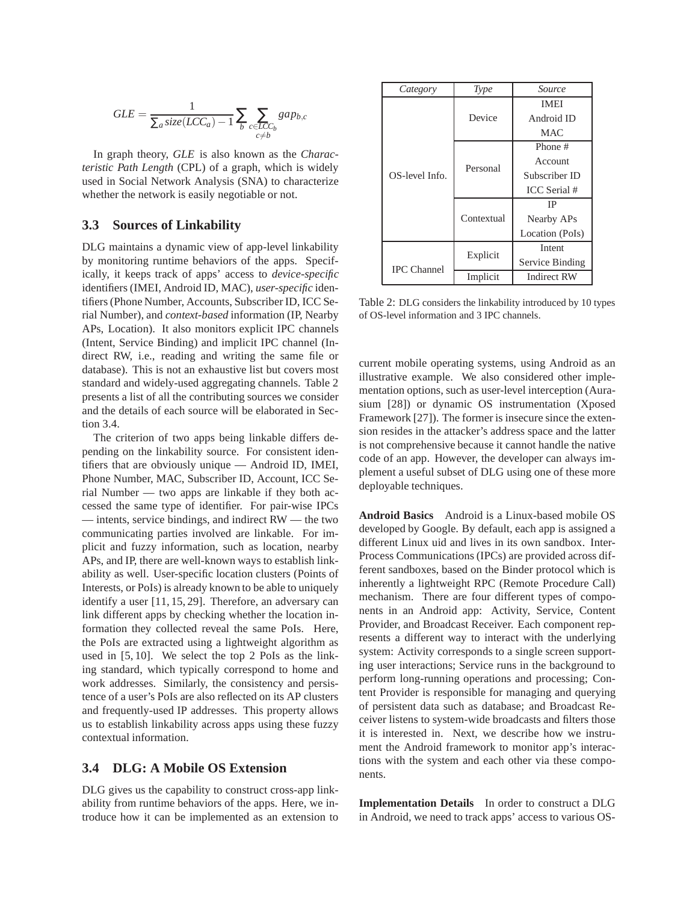$$
GLE = \frac{1}{\sum_{a} size(LCC_a) - 1} \sum_{b} \sum_{\substack{c \in LCC_b \\ c \neq b}} gap_{b,c}
$$

In graph theory, *GLE* is also known as the *Characteristic Path Length* (CPL) of a graph, which is widely used in Social Network Analysis (SNA) to characterize whether the network is easily negotiable or not.

#### **3.3 Sources of Linkability**

DLG maintains a dynamic view of app-level linkability by monitoring runtime behaviors of the apps. Specifically, it keeps track of apps' access to *device-specific* identifiers (IMEI, Android ID, MAC), *user-specific* identifiers (Phone Number, Accounts, Subscriber ID, ICC Serial Number), and *context-based* information (IP, Nearby APs, Location). It also monitors explicit IPC channels (Intent, Service Binding) and implicit IPC channel (Indirect RW, i.e., reading and writing the same file or database). This is not an exhaustive list but covers most standard and widely-used aggregating channels. Table 2 presents a list of all the contributing sources we consider and the details of each source will be elaborated in Section 3.4.

The criterion of two apps being linkable differs depending on the linkability source. For consistent identifiers that are obviously unique — Android ID, IMEI, Phone Number, MAC, Subscriber ID, Account, ICC Serial Number — two apps are linkable if they both accessed the same type of identifier. For pair-wise IPCs — intents, service bindings, and indirect RW — the two communicating parties involved are linkable. For implicit and fuzzy information, such as location, nearby APs, and IP, there are well-known ways to establish linkability as well. User-specific location clusters (Points of Interests, or PoIs) is already known to be able to uniquely identify a user [11, 15, 29]. Therefore, an adversary can link different apps by checking whether the location information they collected reveal the same PoIs. Here, the PoIs are extracted using a lightweight algorithm as used in [5, 10]. We select the top 2 PoIs as the linking standard, which typically correspond to home and work addresses. Similarly, the consistency and persistence of a user's PoIs are also reflected on its AP clusters and frequently-used IP addresses. This property allows us to establish linkability across apps using these fuzzy contextual information.

#### **3.4 DLG: A Mobile OS Extension**

DLG gives us the capability to construct cross-app linkability from runtime behaviors of the apps. Here, we introduce how it can be implemented as an extension to

| Category           | Type       | Source          |  |
|--------------------|------------|-----------------|--|
|                    |            | <b>IMEI</b>     |  |
|                    | Device     | Android ID      |  |
|                    |            | <b>MAC</b>      |  |
|                    |            | Phone #         |  |
|                    | Personal   | Account         |  |
| OS-level Info.     |            | Subscriber ID   |  |
|                    |            | ICC Serial #    |  |
|                    |            | IΡ              |  |
|                    | Contextual | Nearby APs      |  |
|                    |            | Location (PoIs) |  |
| <b>IPC</b> Channel | Explicit   | Intent          |  |
|                    |            | Service Binding |  |
|                    | Implicit   | Indirect RW     |  |

Table 2: DLG considers the linkability introduced by 10 types of OS-level information and 3 IPC channels.

current mobile operating systems, using Android as an illustrative example. We also considered other implementation options, such as user-level interception (Aurasium [28]) or dynamic OS instrumentation (Xposed Framework [27]). The former is insecure since the extension resides in the attacker's address space and the latter is not comprehensive because it cannot handle the native code of an app. However, the developer can always implement a useful subset of DLG using one of these more deployable techniques.

**Android Basics** Android is a Linux-based mobile OS developed by Google. By default, each app is assigned a different Linux uid and lives in its own sandbox. Inter-Process Communications (IPCs) are provided across different sandboxes, based on the Binder protocol which is inherently a lightweight RPC (Remote Procedure Call) mechanism. There are four different types of components in an Android app: Activity, Service, Content Provider, and Broadcast Receiver. Each component represents a different way to interact with the underlying system: Activity corresponds to a single screen supporting user interactions; Service runs in the background to perform long-running operations and processing; Content Provider is responsible for managing and querying of persistent data such as database; and Broadcast Receiver listens to system-wide broadcasts and filters those it is interested in. Next, we describe how we instrument the Android framework to monitor app's interactions with the system and each other via these components.

**Implementation Details** In order to construct a DLG in Android, we need to track apps' access to various OS-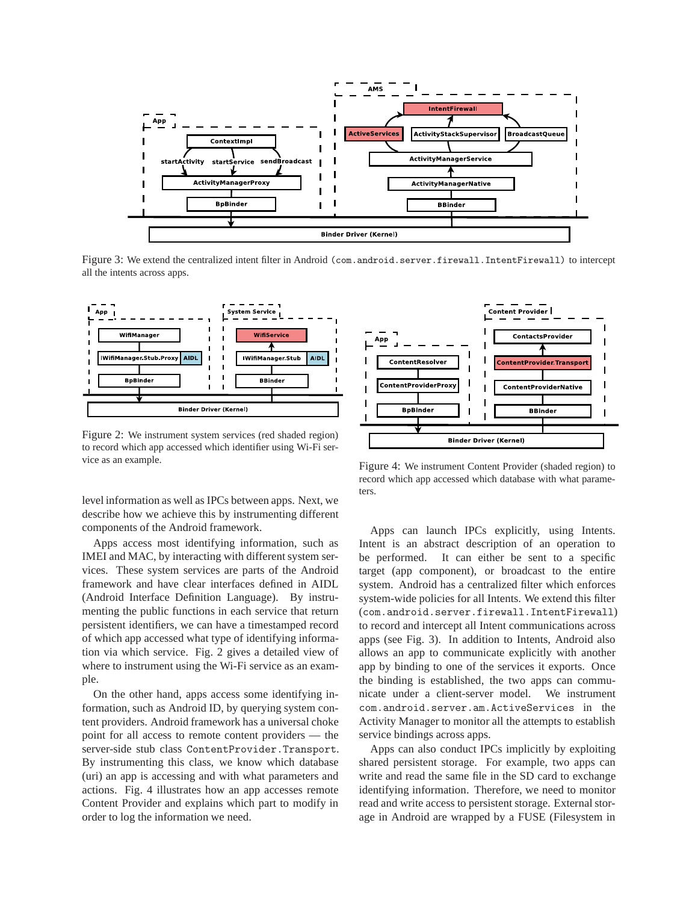

Figure 3: We extend the centralized intent filter in Android (com.android.server.firewall.IntentFirewall) to intercept all the intents across apps.



Figure 2: We instrument system services (red shaded region) to record which app accessed which identifier using Wi-Fi service as an example.

level information as well as IPCs between apps. Next, we describe how we achieve this by instrumenting different components of the Android framework.

Apps access most identifying information, such as IMEI and MAC, by interacting with different system services. These system services are parts of the Android framework and have clear interfaces defined in AIDL (Android Interface Definition Language). By instrumenting the public functions in each service that return persistent identifiers, we can have a timestamped record of which app accessed what type of identifying information via which service. Fig. 2 gives a detailed view of where to instrument using the Wi-Fi service as an example.

On the other hand, apps access some identifying information, such as Android ID, by querying system content providers. Android framework has a universal choke point for all access to remote content providers — the server-side stub class ContentProvider.Transport. By instrumenting this class, we know which database (uri) an app is accessing and with what parameters and actions. Fig. 4 illustrates how an app accesses remote Content Provider and explains which part to modify in order to log the information we need.



Figure 4: We instrument Content Provider (shaded region) to record which app accessed which database with what parameters.

Apps can launch IPCs explicitly, using Intents. Intent is an abstract description of an operation to be performed. It can either be sent to a specific target (app component), or broadcast to the entire system. Android has a centralized filter which enforces system-wide policies for all Intents. We extend this filter (com.android.server.firewall.IntentFirewall) to record and intercept all Intent communications across apps (see Fig. 3). In addition to Intents, Android also allows an app to communicate explicitly with another app by binding to one of the services it exports. Once the binding is established, the two apps can communicate under a client-server model. We instrument com.android.server.am.ActiveServices in the Activity Manager to monitor all the attempts to establish service bindings across apps.

Apps can also conduct IPCs implicitly by exploiting shared persistent storage. For example, two apps can write and read the same file in the SD card to exchange identifying information. Therefore, we need to monitor read and write access to persistent storage. External storage in Android are wrapped by a FUSE (Filesystem in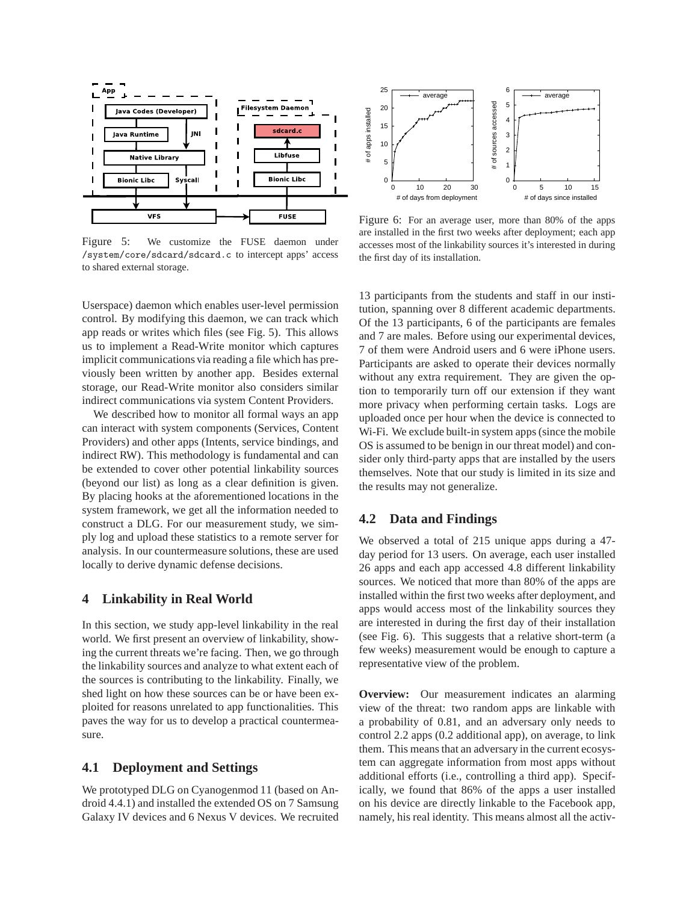

Figure 5: We customize the FUSE daemon under /system/core/sdcard/sdcard.c to intercept apps' access to shared external storage.



Figure 6: For an average user, more than 80% of the apps are installed in the first two weeks after deployment; each app accesses most of the linkability sources it's interested in during the first day of its installation.

Userspace) daemon which enables user-level permission control. By modifying this daemon, we can track which app reads or writes which files (see Fig. 5). This allows us to implement a Read-Write monitor which captures implicit communications via reading a file which has previously been written by another app. Besides external storage, our Read-Write monitor also considers similar indirect communications via system Content Providers.

We described how to monitor all formal ways an app can interact with system components (Services, Content Providers) and other apps (Intents, service bindings, and indirect RW). This methodology is fundamental and can be extended to cover other potential linkability sources (beyond our list) as long as a clear definition is given. By placing hooks at the aforementioned locations in the system framework, we get all the information needed to construct a DLG. For our measurement study, we simply log and upload these statistics to a remote server for analysis. In our countermeasure solutions, these are used locally to derive dynamic defense decisions.

## **4 Linkability in Real World**

In this section, we study app-level linkability in the real world. We first present an overview of linkability, showing the current threats we're facing. Then, we go through the linkability sources and analyze to what extent each of the sources is contributing to the linkability. Finally, we shed light on how these sources can be or have been exploited for reasons unrelated to app functionalities. This paves the way for us to develop a practical countermeasure.

## **4.1 Deployment and Settings**

We prototyped DLG on Cyanogenmod 11 (based on Android 4.4.1) and installed the extended OS on 7 Samsung Galaxy IV devices and 6 Nexus V devices. We recruited

13 participants from the students and staff in our institution, spanning over 8 different academic departments. Of the 13 participants, 6 of the participants are females and 7 are males. Before using our experimental devices, 7 of them were Android users and 6 were iPhone users. Participants are asked to operate their devices normally without any extra requirement. They are given the option to temporarily turn off our extension if they want more privacy when performing certain tasks. Logs are uploaded once per hour when the device is connected to Wi-Fi. We exclude built-in system apps (since the mobile OS is assumed to be benign in our threat model) and consider only third-party apps that are installed by the users themselves. Note that our study is limited in its size and the results may not generalize.

#### **4.2 Data and Findings**

We observed a total of 215 unique apps during a 47 day period for 13 users. On average, each user installed 26 apps and each app accessed 4.8 different linkability sources. We noticed that more than 80% of the apps are installed within the first two weeks after deployment, and apps would access most of the linkability sources they are interested in during the first day of their installation (see Fig. 6). This suggests that a relative short-term (a few weeks) measurement would be enough to capture a representative view of the problem.

**Overview:** Our measurement indicates an alarming view of the threat: two random apps are linkable with a probability of 0.81, and an adversary only needs to control 2.2 apps (0.2 additional app), on average, to link them. This means that an adversary in the current ecosystem can aggregate information from most apps without additional efforts (i.e., controlling a third app). Specifically, we found that 86% of the apps a user installed on his device are directly linkable to the Facebook app, namely, his real identity. This means almost all the activ-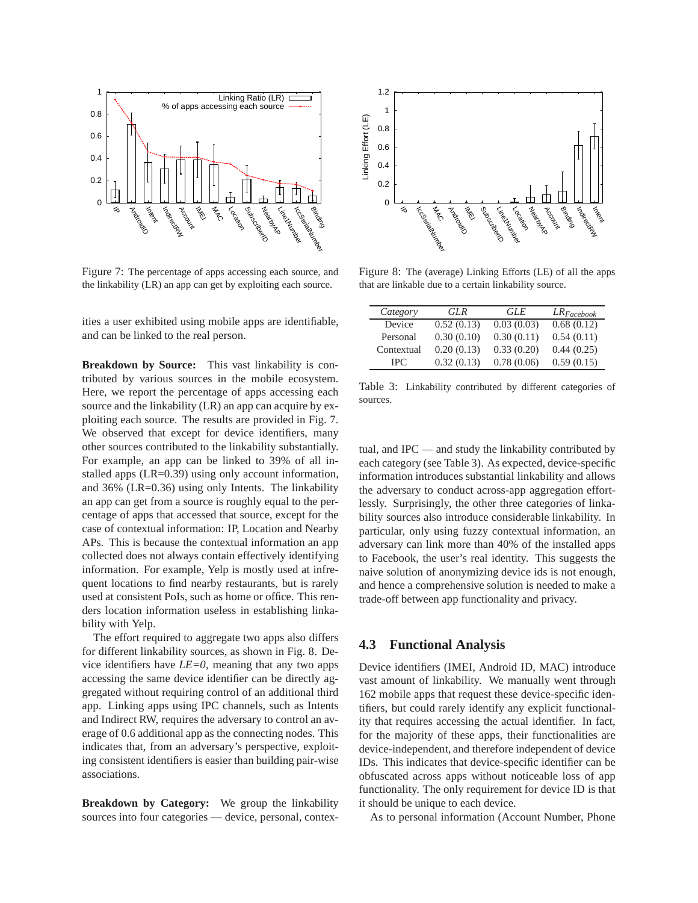

Figure 7: The percentage of apps accessing each source, and the linkability (LR) an app can get by exploiting each source.

ities a user exhibited using mobile apps are identifiable, and can be linked to the real person.

**Breakdown by Source:** This vast linkability is contributed by various sources in the mobile ecosystem. Here, we report the percentage of apps accessing each source and the linkability (LR) an app can acquire by exploiting each source. The results are provided in Fig. 7. We observed that except for device identifiers, many other sources contributed to the linkability substantially. For example, an app can be linked to 39% of all installed apps (LR=0.39) using only account information, and 36% (LR=0.36) using only Intents. The linkability an app can get from a source is roughly equal to the percentage of apps that accessed that source, except for the case of contextual information: IP, Location and Nearby APs. This is because the contextual information an app collected does not always contain effectively identifying information. For example, Yelp is mostly used at infrequent locations to find nearby restaurants, but is rarely used at consistent PoIs, such as home or office. This renders location information useless in establishing linkability with Yelp.

The effort required to aggregate two apps also differs for different linkability sources, as shown in Fig. 8. Device identifiers have *LE=0*, meaning that any two apps accessing the same device identifier can be directly aggregated without requiring control of an additional third app. Linking apps using IPC channels, such as Intents and Indirect RW, requires the adversary to control an average of 0.6 additional app as the connecting nodes. This indicates that, from an adversary's perspective, exploiting consistent identifiers is easier than building pair-wise associations.

**Breakdown by Category:** We group the linkability sources into four categories — device, personal, contex-



Figure 8: The (average) Linking Efforts (LE) of all the apps that are linkable due to a certain linkability source.

| Category   | GLR        | GLE        | $LR_{Facebook}$ |
|------------|------------|------------|-----------------|
| Device     | 0.52(0.13) | 0.03(0.03) | 0.68(0.12)      |
| Personal   | 0.30(0.10) | 0.30(0.11) | 0.54(0.11)      |
| Contextual | 0.20(0.13) | 0.33(0.20) | 0.44(0.25)      |
| IPC.       | 0.32(0.13) | 0.78(0.06) | 0.59(0.15)      |

Table 3: Linkability contributed by different categories of sources.

tual, and IPC — and study the linkability contributed by each category (see Table 3). As expected, device-specific information introduces substantial linkability and allows the adversary to conduct across-app aggregation effortlessly. Surprisingly, the other three categories of linkability sources also introduce considerable linkability. In particular, only using fuzzy contextual information, an adversary can link more than 40% of the installed apps to Facebook, the user's real identity. This suggests the naive solution of anonymizing device ids is not enough, and hence a comprehensive solution is needed to make a trade-off between app functionality and privacy.

#### **4.3 Functional Analysis**

Device identifiers (IMEI, Android ID, MAC) introduce vast amount of linkability. We manually went through 162 mobile apps that request these device-specific identifiers, but could rarely identify any explicit functionality that requires accessing the actual identifier. In fact, for the majority of these apps, their functionalities are device-independent, and therefore independent of device IDs. This indicates that device-specific identifier can be obfuscated across apps without noticeable loss of app functionality. The only requirement for device ID is that it should be unique to each device.

As to personal information (Account Number, Phone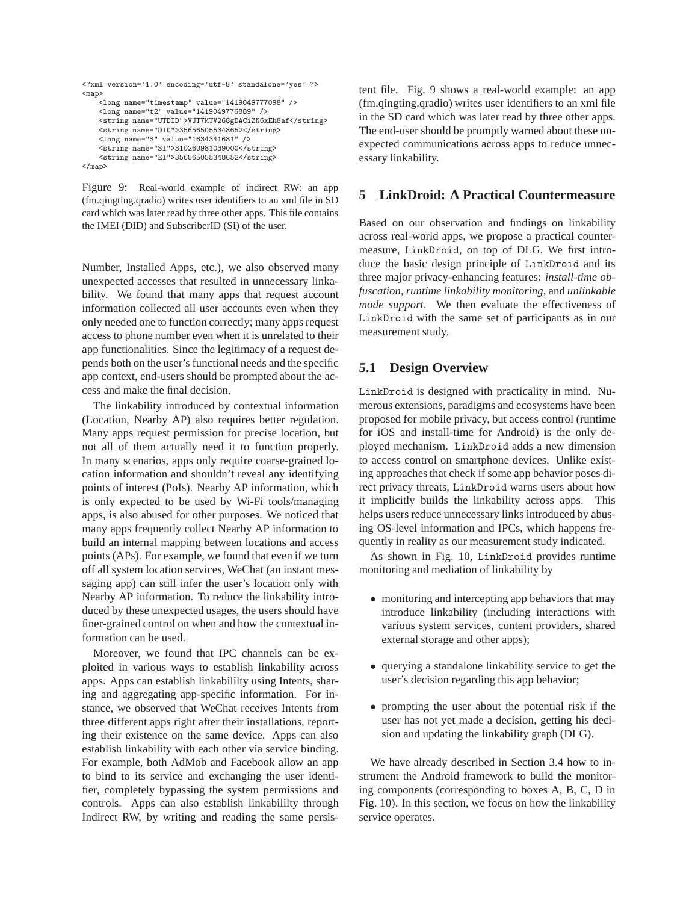```
<?xml version='1.0' encoding='utf-8' standalone='yes' ?>
<map>
    <long name="timestamp" value="1419049777098" />
    <long name="t2" value="1419049776889" />
    <string name="UTDID">VJT7MTV268gDACiZN6xEh8af</string>
    <string name="DID">356565055348652</string>
    <long name="S" value="1634341681" />
    <string name="SI">310260981039000</string>
    <string name="EI">356565055348652</string>
</map>
```
Figure 9: Real-world example of indirect RW: an app (fm.qingting.qradio) writes user identifiers to an xml file in SD card which was later read by three other apps. This file contains the IMEI (DID) and SubscriberID (SI) of the user.

Number, Installed Apps, etc.), we also observed many unexpected accesses that resulted in unnecessary linkability. We found that many apps that request account information collected all user accounts even when they only needed one to function correctly; many apps request access to phone number even when it is unrelated to their app functionalities. Since the legitimacy of a request depends both on the user's functional needs and the specific app context, end-users should be prompted about the access and make the final decision.

The linkability introduced by contextual information (Location, Nearby AP) also requires better regulation. Many apps request permission for precise location, but not all of them actually need it to function properly. In many scenarios, apps only require coarse-grained location information and shouldn't reveal any identifying points of interest (PoIs). Nearby AP information, which is only expected to be used by Wi-Fi tools/managing apps, is also abused for other purposes. We noticed that many apps frequently collect Nearby AP information to build an internal mapping between locations and access points (APs). For example, we found that even if we turn off all system location services, WeChat (an instant messaging app) can still infer the user's location only with Nearby AP information. To reduce the linkability introduced by these unexpected usages, the users should have finer-grained control on when and how the contextual information can be used.

Moreover, we found that IPC channels can be exploited in various ways to establish linkability across apps. Apps can establish linkabililty using Intents, sharing and aggregating app-specific information. For instance, we observed that WeChat receives Intents from three different apps right after their installations, reporting their existence on the same device. Apps can also establish linkability with each other via service binding. For example, both AdMob and Facebook allow an app to bind to its service and exchanging the user identifier, completely bypassing the system permissions and controls. Apps can also establish linkabililty through Indirect RW, by writing and reading the same persistent file. Fig. 9 shows a real-world example: an app (fm.qingting.qradio) writes user identifiers to an xml file in the SD card which was later read by three other apps. The end-user should be promptly warned about these unexpected communications across apps to reduce unnecessary linkability.

### **5 LinkDroid: A Practical Countermeasure**

Based on our observation and findings on linkability across real-world apps, we propose a practical countermeasure, LinkDroid, on top of DLG. We first introduce the basic design principle of LinkDroid and its three major privacy-enhancing features: *install-time obfuscation*, *runtime linkability monitoring*, and *unlinkable mode support*. We then evaluate the effectiveness of LinkDroid with the same set of participants as in our measurement study.

#### **5.1 Design Overview**

LinkDroid is designed with practicality in mind. Numerous extensions, paradigms and ecosystems have been proposed for mobile privacy, but access control (runtime for iOS and install-time for Android) is the only deployed mechanism. LinkDroid adds a new dimension to access control on smartphone devices. Unlike existing approaches that check if some app behavior poses direct privacy threats, LinkDroid warns users about how it implicitly builds the linkability across apps. This helps users reduce unnecessary links introduced by abusing OS-level information and IPCs, which happens frequently in reality as our measurement study indicated.

As shown in Fig. 10, LinkDroid provides runtime monitoring and mediation of linkability by

- monitoring and intercepting app behaviors that may introduce linkability (including interactions with various system services, content providers, shared external storage and other apps);
- querying a standalone linkability service to get the user's decision regarding this app behavior;
- prompting the user about the potential risk if the user has not yet made a decision, getting his decision and updating the linkability graph (DLG).

We have already described in Section 3.4 how to instrument the Android framework to build the monitoring components (corresponding to boxes A, B, C, D in Fig. 10). In this section, we focus on how the linkability service operates.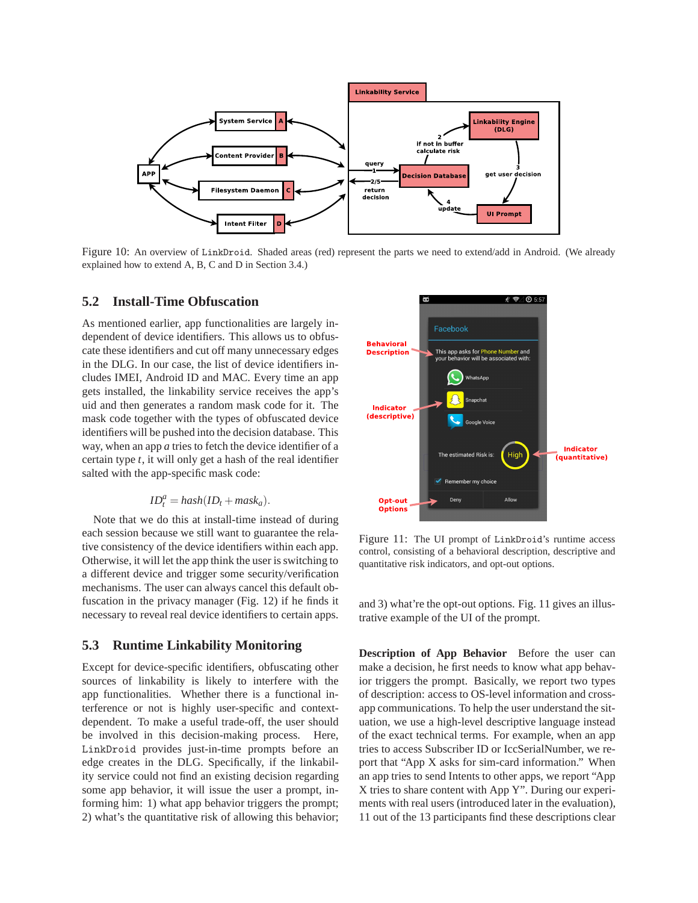

Figure 10: An overview of LinkDroid. Shaded areas (red) represent the parts we need to extend/add in Android. (We already explained how to extend A, B, C and D in Section 3.4.)

## **5.2 Install-Time Obfuscation**

As mentioned earlier, app functionalities are largely independent of device identifiers. This allows us to obfuscate these identifiers and cut off many unnecessary edges in the DLG. In our case, the list of device identifiers includes IMEI, Android ID and MAC. Every time an app gets installed, the linkability service receives the app's uid and then generates a random mask code for it. The mask code together with the types of obfuscated device identifiers will be pushed into the decision database. This way, when an app *a* tries to fetch the device identifier of a certain type *t*, it will only get a hash of the real identifier salted with the app-specific mask code:

$$
ID_t^a = hash(ID_t + mask_a).
$$

Note that we do this at install-time instead of during each session because we still want to guarantee the relative consistency of the device identifiers within each app. Otherwise, it will let the app think the user is switching to a different device and trigger some security/verification mechanisms. The user can always cancel this default obfuscation in the privacy manager (Fig. 12) if he finds it necessary to reveal real device identifiers to certain apps.

## **5.3 Runtime Linkability Monitoring**

Except for device-specific identifiers, obfuscating other sources of linkability is likely to interfere with the app functionalities. Whether there is a functional interference or not is highly user-specific and contextdependent. To make a useful trade-off, the user should be involved in this decision-making process. Here, LinkDroid provides just-in-time prompts before an edge creates in the DLG. Specifically, if the linkability service could not find an existing decision regarding some app behavior, it will issue the user a prompt, informing him: 1) what app behavior triggers the prompt; 2) what's the quantitative risk of allowing this behavior;



Figure 11: The UI prompt of LinkDroid's runtime access control, consisting of a behavioral description, descriptive and quantitative risk indicators, and opt-out options.

and 3) what're the opt-out options. Fig. 11 gives an illustrative example of the UI of the prompt.

**Description of App Behavior** Before the user can make a decision, he first needs to know what app behavior triggers the prompt. Basically, we report two types of description: access to OS-level information and crossapp communications. To help the user understand the situation, we use a high-level descriptive language instead of the exact technical terms. For example, when an app tries to access Subscriber ID or IccSerialNumber, we report that "App X asks for sim-card information." When an app tries to send Intents to other apps, we report "App X tries to share content with App Y". During our experiments with real users (introduced later in the evaluation), 11 out of the 13 participants find these descriptions clear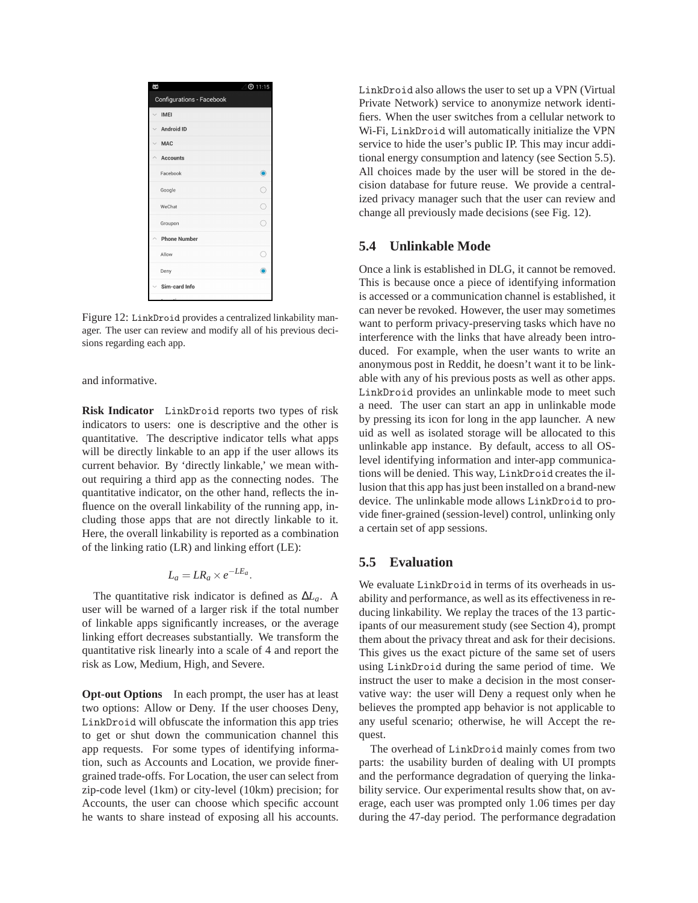

Figure 12: LinkDroid provides a centralized linkability manager. The user can review and modify all of his previous decisions regarding each app.

and informative.

**Risk Indicator** LinkDroid reports two types of risk indicators to users: one is descriptive and the other is quantitative. The descriptive indicator tells what apps will be directly linkable to an app if the user allows its current behavior. By 'directly linkable,' we mean without requiring a third app as the connecting nodes. The quantitative indicator, on the other hand, reflects the influence on the overall linkability of the running app, including those apps that are not directly linkable to it. Here, the overall linkability is reported as a combination of the linking ratio (LR) and linking effort (LE):

$$
L_a = LR_a \times e^{-LE_a}.
$$

The quantitative risk indicator is defined as ∆*La*. A user will be warned of a larger risk if the total number of linkable apps significantly increases, or the average linking effort decreases substantially. We transform the quantitative risk linearly into a scale of 4 and report the risk as Low, Medium, High, and Severe.

**Opt-out Options** In each prompt, the user has at least two options: Allow or Deny. If the user chooses Deny, LinkDroid will obfuscate the information this app tries to get or shut down the communication channel this app requests. For some types of identifying information, such as Accounts and Location, we provide finergrained trade-offs. For Location, the user can select from zip-code level (1km) or city-level (10km) precision; for Accounts, the user can choose which specific account he wants to share instead of exposing all his accounts. LinkDroid also allows the user to set up a VPN (Virtual Private Network) service to anonymize network identifiers. When the user switches from a cellular network to Wi-Fi, LinkDroid will automatically initialize the VPN service to hide the user's public IP. This may incur additional energy consumption and latency (see Section 5.5). All choices made by the user will be stored in the decision database for future reuse. We provide a centralized privacy manager such that the user can review and change all previously made decisions (see Fig. 12).

#### **5.4 Unlinkable Mode**

Once a link is established in DLG, it cannot be removed. This is because once a piece of identifying information is accessed or a communication channel is established, it can never be revoked. However, the user may sometimes want to perform privacy-preserving tasks which have no interference with the links that have already been introduced. For example, when the user wants to write an anonymous post in Reddit, he doesn't want it to be linkable with any of his previous posts as well as other apps. LinkDroid provides an unlinkable mode to meet such a need. The user can start an app in unlinkable mode by pressing its icon for long in the app launcher. A new uid as well as isolated storage will be allocated to this unlinkable app instance. By default, access to all OSlevel identifying information and inter-app communications will be denied. This way, LinkDroid creates the illusion that this app has just been installed on a brand-new device. The unlinkable mode allows LinkDroid to provide finer-grained (session-level) control, unlinking only a certain set of app sessions.

#### **5.5 Evaluation**

We evaluate LinkDroid in terms of its overheads in usability and performance, as well as its effectiveness in reducing linkability. We replay the traces of the 13 participants of our measurement study (see Section 4), prompt them about the privacy threat and ask for their decisions. This gives us the exact picture of the same set of users using LinkDroid during the same period of time. We instruct the user to make a decision in the most conservative way: the user will Deny a request only when he believes the prompted app behavior is not applicable to any useful scenario; otherwise, he will Accept the request.

The overhead of LinkDroid mainly comes from two parts: the usability burden of dealing with UI prompts and the performance degradation of querying the linkability service. Our experimental results show that, on average, each user was prompted only 1.06 times per day during the 47-day period. The performance degradation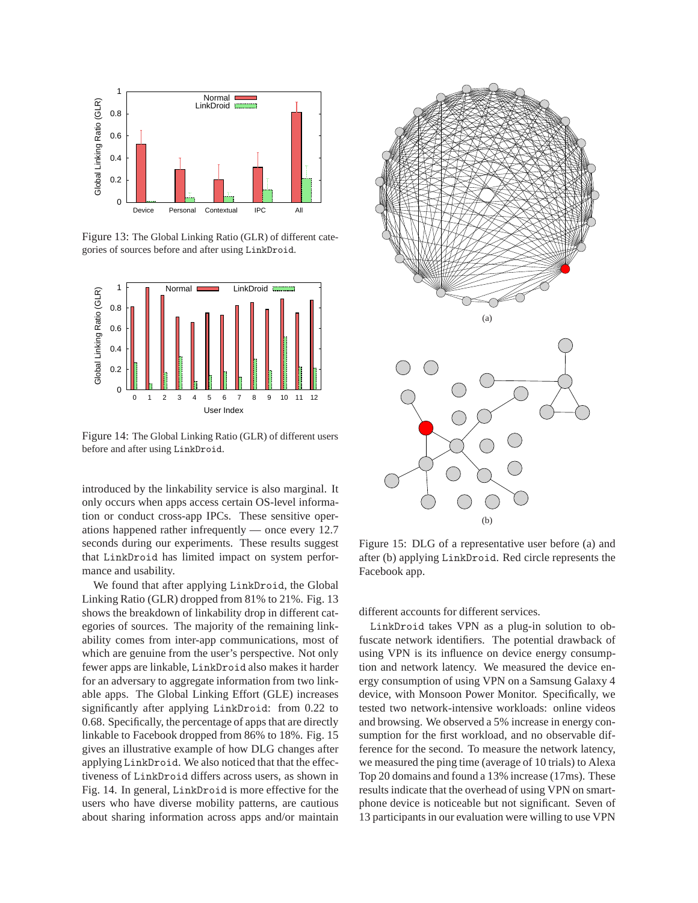

Figure 13: The Global Linking Ratio (GLR) of different categories of sources before and after using LinkDroid.



Figure 14: The Global Linking Ratio (GLR) of different users before and after using LinkDroid.

introduced by the linkability service is also marginal. It only occurs when apps access certain OS-level information or conduct cross-app IPCs. These sensitive operations happened rather infrequently — once every 12.7 seconds during our experiments. These results suggest that LinkDroid has limited impact on system performance and usability.

We found that after applying LinkDroid, the Global Linking Ratio (GLR) dropped from 81% to 21%. Fig. 13 shows the breakdown of linkability drop in different categories of sources. The majority of the remaining linkability comes from inter-app communications, most of which are genuine from the user's perspective. Not only fewer apps are linkable, LinkDroid also makes it harder for an adversary to aggregate information from two linkable apps. The Global Linking Effort (GLE) increases significantly after applying LinkDroid: from 0.22 to 0.68. Specifically, the percentage of apps that are directly linkable to Facebook dropped from 86% to 18%. Fig. 15 gives an illustrative example of how DLG changes after applying LinkDroid. We also noticed that that the effectiveness of LinkDroid differs across users, as shown in Fig. 14. In general, LinkDroid is more effective for the users who have diverse mobility patterns, are cautious about sharing information across apps and/or maintain



Figure 15: DLG of a representative user before (a) and after (b) applying LinkDroid. Red circle represents the Facebook app.

different accounts for different services.

LinkDroid takes VPN as a plug-in solution to obfuscate network identifiers. The potential drawback of using VPN is its influence on device energy consumption and network latency. We measured the device energy consumption of using VPN on a Samsung Galaxy 4 device, with Monsoon Power Monitor. Specifically, we tested two network-intensive workloads: online videos and browsing. We observed a 5% increase in energy consumption for the first workload, and no observable difference for the second. To measure the network latency, we measured the ping time (average of 10 trials) to Alexa Top 20 domains and found a 13% increase (17ms). These results indicate that the overhead of using VPN on smartphone device is noticeable but not significant. Seven of 13 participants in our evaluation were willing to use VPN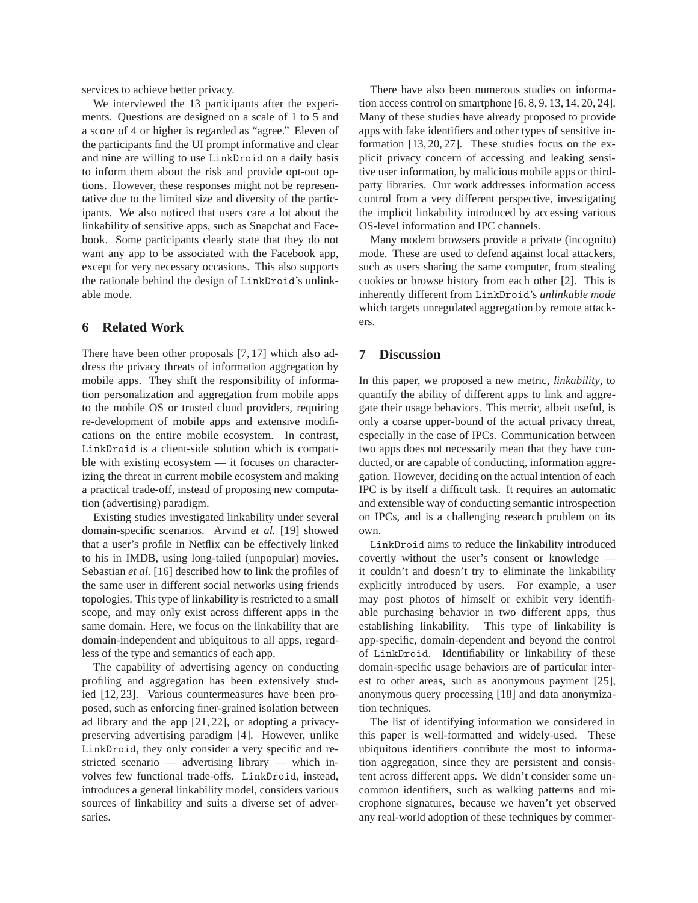services to achieve better privacy.

We interviewed the 13 participants after the experiments. Questions are designed on a scale of 1 to 5 and a score of 4 or higher is regarded as "agree." Eleven of the participants find the UI prompt informative and clear and nine are willing to use LinkDroid on a daily basis to inform them about the risk and provide opt-out options. However, these responses might not be representative due to the limited size and diversity of the participants. We also noticed that users care a lot about the linkability of sensitive apps, such as Snapchat and Facebook. Some participants clearly state that they do not want any app to be associated with the Facebook app, except for very necessary occasions. This also supports the rationale behind the design of LinkDroid's unlinkable mode.

## **6 Related Work**

There have been other proposals [7, 17] which also address the privacy threats of information aggregation by mobile apps. They shift the responsibility of information personalization and aggregation from mobile apps to the mobile OS or trusted cloud providers, requiring re-development of mobile apps and extensive modifications on the entire mobile ecosystem. In contrast, LinkDroid is a client-side solution which is compatible with existing ecosystem — it focuses on characterizing the threat in current mobile ecosystem and making a practical trade-off, instead of proposing new computation (advertising) paradigm.

Existing studies investigated linkability under several domain-specific scenarios. Arvind *et al.* [19] showed that a user's profile in Netflix can be effectively linked to his in IMDB, using long-tailed (unpopular) movies. Sebastian *et al.* [16] described how to link the profiles of the same user in different social networks using friends topologies. This type of linkability is restricted to a small scope, and may only exist across different apps in the same domain. Here, we focus on the linkability that are domain-independent and ubiquitous to all apps, regardless of the type and semantics of each app.

The capability of advertising agency on conducting profiling and aggregation has been extensively studied [12, 23]. Various countermeasures have been proposed, such as enforcing finer-grained isolation between ad library and the app [21, 22], or adopting a privacypreserving advertising paradigm [4]. However, unlike LinkDroid, they only consider a very specific and restricted scenario — advertising library — which involves few functional trade-offs. LinkDroid, instead, introduces a general linkability model, considers various sources of linkability and suits a diverse set of adversaries.

There have also been numerous studies on information access control on smartphone [6, 8, 9, 13, 14, 20, 24]. Many of these studies have already proposed to provide apps with fake identifiers and other types of sensitive information [13, 20, 27]. These studies focus on the explicit privacy concern of accessing and leaking sensitive user information, by malicious mobile apps or thirdparty libraries. Our work addresses information access control from a very different perspective, investigating the implicit linkability introduced by accessing various OS-level information and IPC channels.

Many modern browsers provide a private (incognito) mode. These are used to defend against local attackers, such as users sharing the same computer, from stealing cookies or browse history from each other [2]. This is inherently different from LinkDroid's *unlinkable mode* which targets unregulated aggregation by remote attackers.

#### **7 Discussion**

In this paper, we proposed a new metric, *linkability*, to quantify the ability of different apps to link and aggregate their usage behaviors. This metric, albeit useful, is only a coarse upper-bound of the actual privacy threat, especially in the case of IPCs. Communication between two apps does not necessarily mean that they have conducted, or are capable of conducting, information aggregation. However, deciding on the actual intention of each IPC is by itself a difficult task. It requires an automatic and extensible way of conducting semantic introspection on IPCs, and is a challenging research problem on its own.

LinkDroid aims to reduce the linkability introduced covertly without the user's consent or knowledge it couldn't and doesn't try to eliminate the linkability explicitly introduced by users. For example, a user may post photos of himself or exhibit very identifiable purchasing behavior in two different apps, thus establishing linkability. This type of linkability is app-specific, domain-dependent and beyond the control of LinkDroid. Identifiability or linkability of these domain-specific usage behaviors are of particular interest to other areas, such as anonymous payment [25], anonymous query processing [18] and data anonymization techniques.

The list of identifying information we considered in this paper is well-formatted and widely-used. These ubiquitous identifiers contribute the most to information aggregation, since they are persistent and consistent across different apps. We didn't consider some uncommon identifiers, such as walking patterns and microphone signatures, because we haven't yet observed any real-world adoption of these techniques by commer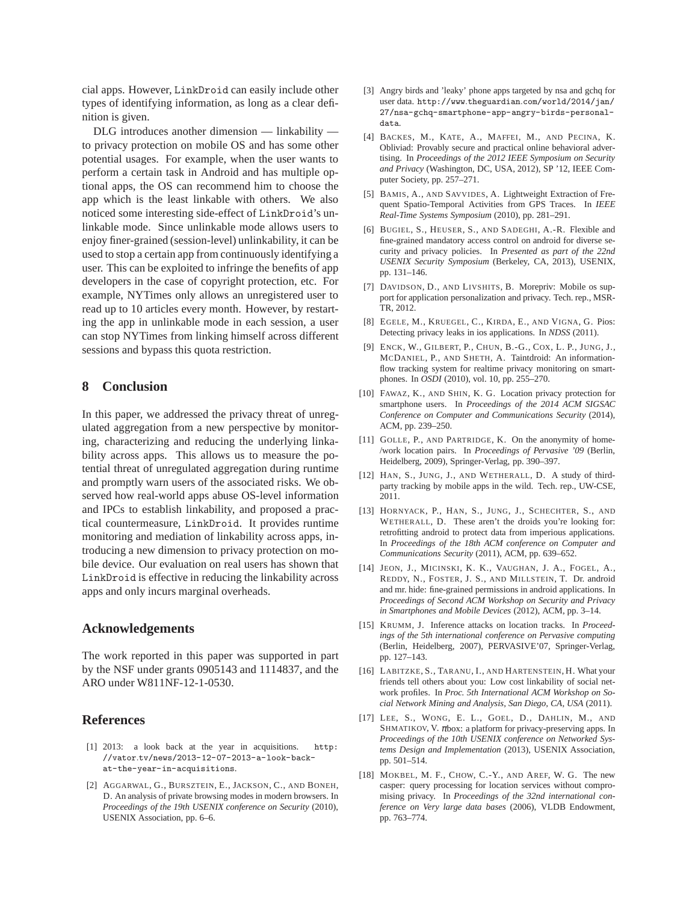cial apps. However, LinkDroid can easily include other types of identifying information, as long as a clear definition is given.

DLG introduces another dimension — linkability to privacy protection on mobile OS and has some other potential usages. For example, when the user wants to perform a certain task in Android and has multiple optional apps, the OS can recommend him to choose the app which is the least linkable with others. We also noticed some interesting side-effect of LinkDroid's unlinkable mode. Since unlinkable mode allows users to enjoy finer-grained (session-level) unlinkability, it can be used to stop a certain app from continuously identifying a user. This can be exploited to infringe the benefits of app developers in the case of copyright protection, etc. For example, NYTimes only allows an unregistered user to read up to 10 articles every month. However, by restarting the app in unlinkable mode in each session, a user can stop NYTimes from linking himself across different sessions and bypass this quota restriction.

### **8 Conclusion**

In this paper, we addressed the privacy threat of unregulated aggregation from a new perspective by monitoring, characterizing and reducing the underlying linkability across apps. This allows us to measure the potential threat of unregulated aggregation during runtime and promptly warn users of the associated risks. We observed how real-world apps abuse OS-level information and IPCs to establish linkability, and proposed a practical countermeasure, LinkDroid. It provides runtime monitoring and mediation of linkability across apps, introducing a new dimension to privacy protection on mobile device. Our evaluation on real users has shown that LinkDroid is effective in reducing the linkability across apps and only incurs marginal overheads.

#### **Acknowledgements**

The work reported in this paper was supported in part by the NSF under grants 0905143 and 1114837, and the ARO under W811NF-12-1-0530.

### **References**

- [1] 2013: a look back at the year in acquisitions. http: //vator.tv/news/2013-12-07-2013-a-look-backat-the-year-in-acquisitions.
- [2] AGGARWAL, G., BURSZTEIN, E., JACKSON, C., AND BONEH, D. An analysis of private browsing modes in modern browsers. In *Proceedings of the 19th USENIX conference on Security* (2010), USENIX Association, pp. 6–6.
- [3] Angry birds and 'leaky' phone apps targeted by nsa and gchq for user data. http://www.theguardian.com/world/2014/jan/ 27/nsa-gchq-smartphone-app-angry-birds-personaldata.
- [4] BACKES, M., KATE, A., MAFFEI, M., AND PECINA, K. Obliviad: Provably secure and practical online behavioral advertising. In *Proceedings of the 2012 IEEE Symposium on Security and Privacy* (Washington, DC, USA, 2012), SP '12, IEEE Computer Society, pp. 257–271.
- [5] BAMIS, A., AND SAVVIDES, A. Lightweight Extraction of Frequent Spatio-Temporal Activities from GPS Traces. In *IEEE Real-Time Systems Symposium* (2010), pp. 281–291.
- [6] BUGIEL, S., HEUSER, S., AND SADEGHI, A.-R. Flexible and fine-grained mandatory access control on android for diverse security and privacy policies. In *Presented as part of the 22nd USENIX Security Symposium* (Berkeley, CA, 2013), USENIX, pp. 131–146.
- [7] DAVIDSON, D., AND LIVSHITS, B. Morepriv: Mobile os support for application personalization and privacy. Tech. rep., MSR-TR, 2012.
- [8] EGELE, M., KRUEGEL, C., KIRDA, E., AND VIGNA, G. Pios: Detecting privacy leaks in ios applications. In *NDSS* (2011).
- [9] ENCK, W., GILBERT, P., CHUN, B.-G., COX, L. P., JUNG, J., MCDANIEL, P., AND SHETH, A. Taintdroid: An informationflow tracking system for realtime privacy monitoring on smartphones. In *OSDI* (2010), vol. 10, pp. 255–270.
- [10] FAWAZ, K., AND SHIN, K. G. Location privacy protection for smartphone users. In *Proceedings of the 2014 ACM SIGSAC Conference on Computer and Communications Security* (2014), ACM, pp. 239–250.
- [11] GOLLE, P., AND PARTRIDGE, K. On the anonymity of home-/work location pairs. In *Proceedings of Pervasive '09* (Berlin, Heidelberg, 2009), Springer-Verlag, pp. 390–397.
- [12] HAN, S., JUNG, J., AND WETHERALL, D. A study of thirdparty tracking by mobile apps in the wild. Tech. rep., UW-CSE, 2011.
- [13] HORNYACK, P., HAN, S., JUNG, J., SCHECHTER, S., AND WETHERALL, D. These aren't the droids you're looking for: retrofitting android to protect data from imperious applications. In *Proceedings of the 18th ACM conference on Computer and Communications Security* (2011), ACM, pp. 639–652.
- [14] JEON, J., MICINSKI, K. K., VAUGHAN, J. A., FOGEL, A., REDDY, N., FOSTER, J. S., AND MILLSTEIN, T. Dr. android and mr. hide: fine-grained permissions in android applications. In *Proceedings of Second ACM Workshop on Security and Privacy in Smartphones and Mobile Devices* (2012), ACM, pp. 3–14.
- [15] KRUMM, J. Inference attacks on location tracks. In *Proceedings of the 5th international conference on Pervasive computing* (Berlin, Heidelberg, 2007), PERVASIVE'07, Springer-Verlag, pp. 127–143.
- [16] LABITZKE, S., TARANU, I., AND HARTENSTEIN, H. What your friends tell others about you: Low cost linkability of social network profiles. In *Proc. 5th International ACM Workshop on Social Network Mining and Analysis, San Diego, CA, USA* (2011).
- [17] LEE, S., WONG, E. L., GOEL, D., DAHLIN, M., AND SHMATIKOV, V.  $\pi$ box: a platform for privacy-preserving apps. In *Proceedings of the 10th USENIX conference on Networked Systems Design and Implementation* (2013), USENIX Association, pp. 501–514.
- [18] MOKBEL, M. F., CHOW, C.-Y., AND AREF, W. G. The new casper: query processing for location services without compromising privacy. In *Proceedings of the 32nd international conference on Very large data bases* (2006), VLDB Endowment, pp. 763–774.